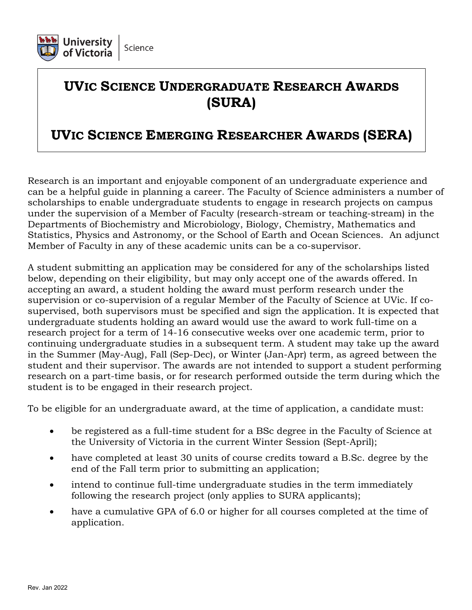

# **UVIC SCIENCE UNDERGRADUATE RESEARCH AWARDS (SURA)**

## **UVIC SCIENCE EMERGING RESEARCHER AWARDS (SERA)**

Research is an important and enjoyable component of an undergraduate experience and can be a helpful guide in planning a career. The Faculty of Science administers a number of scholarships to enable undergraduate students to engage in research projects on campus under the supervision of a Member of Faculty (research-stream or teaching-stream) in the Departments of Biochemistry and Microbiology, Biology, Chemistry, Mathematics and Statistics, Physics and Astronomy, or the School of Earth and Ocean Sciences. An adjunct Member of Faculty in any of these academic units can be a co-supervisor.

A student submitting an application may be considered for any of the scholarships listed below, depending on their eligibility, but may only accept one of the awards offered. In accepting an award, a student holding the award must perform research under the supervision or co-supervision of a regular Member of the Faculty of Science at UVic. If cosupervised, both supervisors must be specified and sign the application. It is expected that undergraduate students holding an award would use the award to work full-time on a research project for a term of 14-16 consecutive weeks over one academic term, prior to continuing undergraduate studies in a subsequent term. A student may take up the award in the Summer (May-Aug), Fall (Sep-Dec), or Winter (Jan-Apr) term, as agreed between the student and their supervisor. The awards are not intended to support a student performing research on a part-time basis, or for research performed outside the term during which the student is to be engaged in their research project.

To be eligible for an undergraduate award, at the time of application, a candidate must:

- be registered as a full-time student for a BSc degree in the Faculty of Science at the University of Victoria in the current Winter Session (Sept-April);
- have completed at least 30 units of course credits toward a B.Sc. degree by the end of the Fall term prior to submitting an application;
- intend to continue full-time undergraduate studies in the term immediately following the research project (only applies to SURA applicants);
- have a cumulative GPA of 6.0 or higher for all courses completed at the time of application.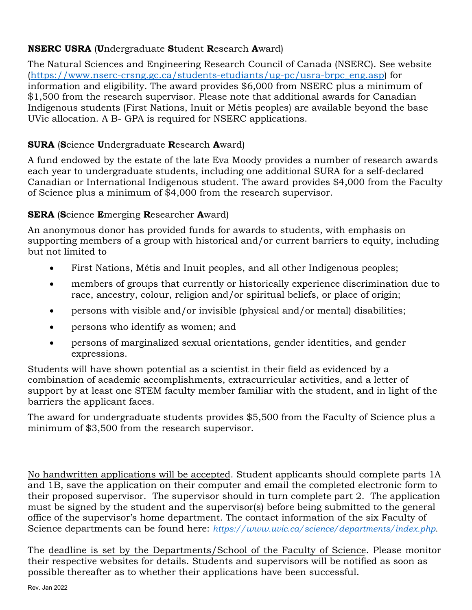#### **NSERC USRA** (**U**ndergraduate **S**tudent **R**esearch **A**ward)

The Natural Sciences and Engineering Research Council of Canada (NSERC). See website [\(https://www.nserc-crsng.gc.ca/students-etudiants/ug-pc/usra-brpc\\_eng.asp\)](https://www.nserc-crsng.gc.ca/students-etudiants/ug-pc/usra-brpc_eng.asp) for information and eligibility. The award provides \$6,000 from NSERC plus a minimum of \$1,500 from the research supervisor. Please note that additional awards for Canadian Indigenous students (First Nations, Inuit or Métis peoples) are available beyond the base UVic allocation. A B- GPA is required for NSERC applications.

#### **SURA** (**S**cience **U**ndergraduate **R**esearch **A**ward)

A fund endowed by the estate of the late Eva Moody provides a number of research awards each year to undergraduate students, including one additional SURA for a self-declared Canadian or International Indigenous student. The award provides \$4,000 from the Faculty of Science plus a minimum of  $\bar{$}4,000$  from the research supervisor.

#### **SERA** (**S**cience **E**merging **R**esearcher **A**ward)

An anonymous donor has provided funds for awards to students, with emphasis on supporting members of a group with historical and/or current barriers to equity, including but not limited to

- First Nations, Métis and Inuit peoples, and all other Indigenous peoples;
- members of groups that currently or historically experience discrimination due to race, ancestry, colour, religion and/or spiritual beliefs, or place of origin;
- persons with visible and/or invisible (physical and/or mental) disabilities;
- persons who identify as women; and
- persons of marginalized sexual orientations, gender identities, and gender expressions.

Students will have shown potential as a scientist in their field as evidenced by a combination of academic accomplishments, extracurricular activities, and a letter of support by at least one STEM faculty member familiar with the student, and in light of the barriers the applicant faces.

The award for undergraduate students provides \$5,500 from the Faculty of Science plus a minimum of \$3,500 from the research supervisor.

No handwritten applications will be accepted. Student applicants should complete parts 1A and 1B, save the application on their computer and email the completed electronic form to their proposed supervisor. The supervisor should in turn complete part 2. The application must be signed by the student and the supervisor(s) before being submitted to the general office of the supervisor's home department. The contact information of the six Faculty of Science departments can be found here: *<https://www.uvic.ca/science/departments/index.php>*.

The deadline is set by the Departments/School of the Faculty of Science. Please monitor their respective websites for details. Students and supervisors will be notified as soon as possible thereafter as to whether their applications have been successful.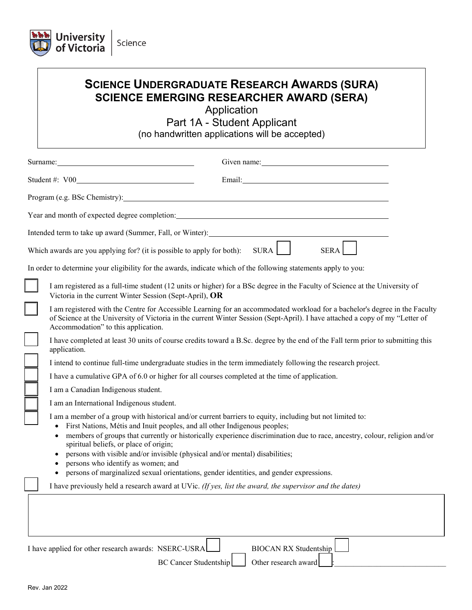

## **SCIENCE UNDERGRADUATE RESEARCH AWARDS (SURA) SCIENCE EMERGING RESEARCHER AWARD (SERA)**

Application

Part 1A - Student Applicant (no handwritten applications will be accepted)

| Surname:                                                                                                                                                                                                                                                                                                   | Given name:                                                                                                                                                                                                                                                                                                                       |
|------------------------------------------------------------------------------------------------------------------------------------------------------------------------------------------------------------------------------------------------------------------------------------------------------------|-----------------------------------------------------------------------------------------------------------------------------------------------------------------------------------------------------------------------------------------------------------------------------------------------------------------------------------|
| Student #: V00                                                                                                                                                                                                                                                                                             | Email: Email: Email: Email: Email: Email: Email: Email: Email: Email: Email: Email: Email: Email: Email: Email: Email: Email: Email: Email: Email: Email: Email: Email: Email: Email: Email: Email: Email: Email: Email: Email                                                                                                    |
|                                                                                                                                                                                                                                                                                                            | Program (e.g. BSc Chemistry): 2008 - 2009 - 2010 - 2010 - 2010 - 2010 - 2010 - 2010 - 2010 - 2010 - 2010 - 201                                                                                                                                                                                                                    |
|                                                                                                                                                                                                                                                                                                            |                                                                                                                                                                                                                                                                                                                                   |
| Intended term to take up award (Summer, Fall, or Winter): _______________________                                                                                                                                                                                                                          |                                                                                                                                                                                                                                                                                                                                   |
| Which awards are you applying for? (it is possible to apply for both):                                                                                                                                                                                                                                     | SURA  <br><b>SERA</b>                                                                                                                                                                                                                                                                                                             |
|                                                                                                                                                                                                                                                                                                            | In order to determine your eligibility for the awards, indicate which of the following statements apply to you:                                                                                                                                                                                                                   |
| Victoria in the current Winter Session (Sept-April), OR                                                                                                                                                                                                                                                    | I am registered as a full-time student (12 units or higher) for a BSc degree in the Faculty of Science at the University of                                                                                                                                                                                                       |
| Accommodation" to this application.                                                                                                                                                                                                                                                                        | I am registered with the Centre for Accessible Learning for an accommodated workload for a bachelor's degree in the Faculty<br>of Science at the University of Victoria in the current Winter Session (Sept-April). I have attached a copy of my "Letter of                                                                       |
| application.                                                                                                                                                                                                                                                                                               | I have completed at least 30 units of course credits toward a B.Sc. degree by the end of the Fall term prior to submitting this                                                                                                                                                                                                   |
|                                                                                                                                                                                                                                                                                                            | I intend to continue full-time undergraduate studies in the term immediately following the research project.                                                                                                                                                                                                                      |
|                                                                                                                                                                                                                                                                                                            | I have a cumulative GPA of 6.0 or higher for all courses completed at the time of application.                                                                                                                                                                                                                                    |
| I am a Canadian Indigenous student.                                                                                                                                                                                                                                                                        |                                                                                                                                                                                                                                                                                                                                   |
| I am an International Indigenous student.                                                                                                                                                                                                                                                                  |                                                                                                                                                                                                                                                                                                                                   |
| First Nations, Métis and Inuit peoples, and all other Indigenous peoples;<br>$\bullet$<br>$\bullet$<br>spiritual beliefs, or place of origin;<br>persons with visible and/or invisible (physical and/or mental) disabilities;<br>$\bullet$<br>persons who identify as women; and<br>$\bullet$<br>$\bullet$ | I am a member of a group with historical and/or current barriers to equity, including but not limited to:<br>members of groups that currently or historically experience discrimination due to race, ancestry, colour, religion and/or<br>persons of marginalized sexual orientations, gender identities, and gender expressions. |
|                                                                                                                                                                                                                                                                                                            | I have previously held a research award at UVic. (If yes, list the award, the supervisor and the dates)                                                                                                                                                                                                                           |
|                                                                                                                                                                                                                                                                                                            |                                                                                                                                                                                                                                                                                                                                   |
| I have applied for other research awards: NSERC-USRA                                                                                                                                                                                                                                                       | <b>BIOCAN RX Studentship</b><br>Other research award<br><b>BC Cancer Studentship</b>                                                                                                                                                                                                                                              |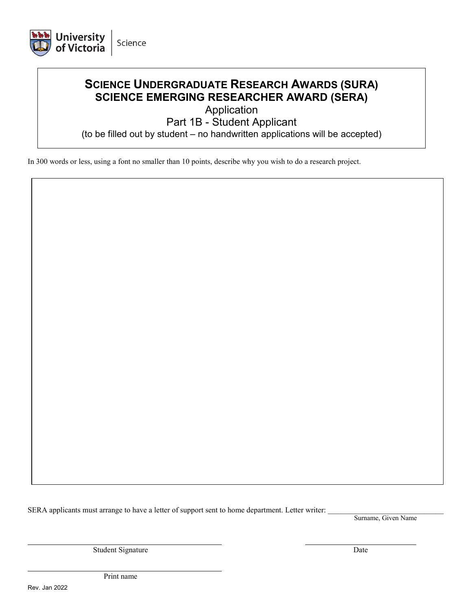

### **SCIENCE UNDERGRADUATE RESEARCH AWARDS (SURA) SCIENCE EMERGING RESEARCHER AWARD (SERA)**

Application

Part 1B - Student Applicant

(to be filled out by student – no handwritten applications will be accepted)

In 300 words or less, using a font no smaller than 10 points, describe why you wish to do a research project.

SERA applicants must arrange to have a letter of support sent to home department. Letter writer:

Surname, Given Name

Student Signature Date

Print name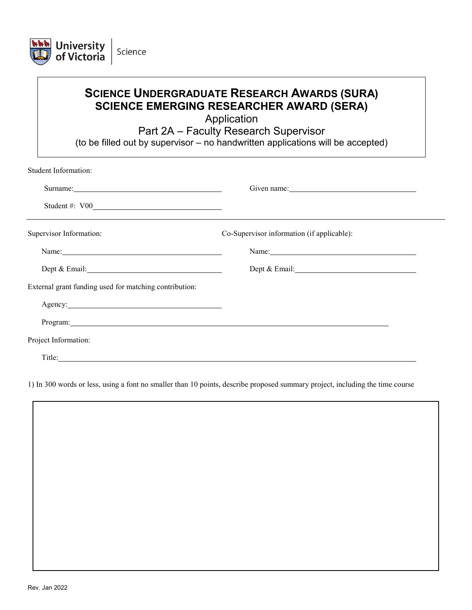

| <b>SCIENCE UNDERGRADUATE RESEARCH AWARDS (SURA)</b> |
|-----------------------------------------------------|
| <b>SCIENCE EMERGING RESEARCHER AWARD (SERA)</b>     |

Application

Part 2A – Faculty Research Supervisor

(to be filled out by supervisor – no handwritten applications will be accepted)

| <b>Student Information:</b>                                                                                                                                                                                                    |                                            |  |
|--------------------------------------------------------------------------------------------------------------------------------------------------------------------------------------------------------------------------------|--------------------------------------------|--|
|                                                                                                                                                                                                                                |                                            |  |
|                                                                                                                                                                                                                                |                                            |  |
| Supervisor Information:                                                                                                                                                                                                        | Co-Supervisor information (if applicable): |  |
|                                                                                                                                                                                                                                |                                            |  |
| Dept & Email:                                                                                                                                                                                                                  | Dept & Email:                              |  |
| External grant funding used for matching contribution:                                                                                                                                                                         |                                            |  |
|                                                                                                                                                                                                                                |                                            |  |
| Program: etc. and the contract of the contract of the contract of the contract of the contract of the contract of the contract of the contract of the contract of the contract of the contract of the contract of the contract |                                            |  |
| Project Information:                                                                                                                                                                                                           |                                            |  |
| Title:                                                                                                                                                                                                                         |                                            |  |

1) In 300 words or less, using a font no smaller than 10 points, describe proposed summary project, including the time course